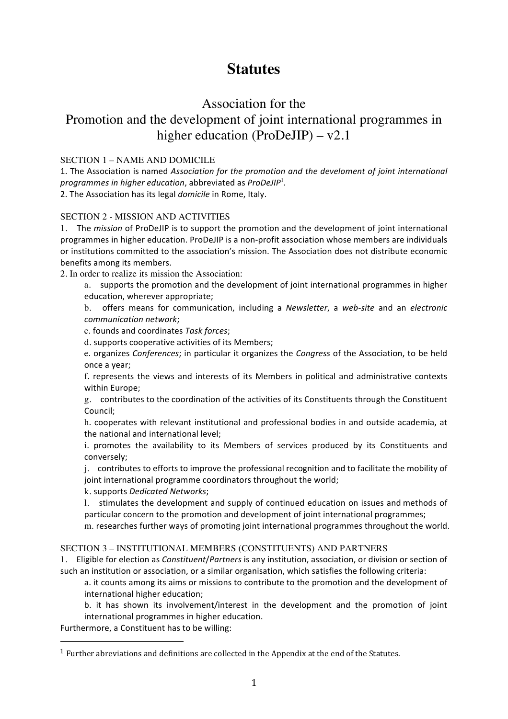# **Statutes**

# Association for the

# Promotion and the development of joint international programmes in higher education (ProDeJIP) – v2.1

## SECTION 1 – NAME AND DOMICILE

1. The Association is named Association for the promotion and the develoment of joint international programmes in higher education, abbreviated as ProDeJIP<sup>1</sup>. 2. The Association has its legal *domicile* in Rome, Italy.

## SECTION 2 - MISSION AND ACTIVITIES

1. The *mission* of ProDeJIP is to support the promotion and the development of joint international programmes in higher education. ProDeJIP is a non-profit association whose members are individuals or institutions committed to the association's mission. The Association does not distribute economic benefits among its members.

2. In order to realize its mission the Association:

a. supports the promotion and the development of joint international programmes in higher education, wherever appropriate;

b. offers means for communication, including a *Newsletter*, a web-site and an electronic *communication network*;

c. founds and coordinates *Task forces*;

d. supports cooperative activities of its Members;

e. organizes *Conferences*; in particular it organizes the *Congress* of the Association, to be held once a year;

f. represents the views and interests of its Members in political and administrative contexts within Europe;

g. contributes to the coordination of the activities of its Constituents through the Constituent Council;

h. cooperates with relevant institutional and professional bodies in and outside academia, at the national and international level;

i. promotes the availability to its Members of services produced by its Constituents and conversely;

j. contributes to efforts to improve the professional recognition and to facilitate the mobility of joint international programme coordinators throughout the world;

k. supports *Dedicated Networks*;

l. stimulates the development and supply of continued education on issues and methods of particular concern to the promotion and development of joint international programmes;

m. researches further ways of promoting joint international programmes throughout the world.

### SECTION 3 – INSTITUTIONAL MEMBERS (CONSTITUENTS) AND PARTNERS

1. Eligible for election as *Constituent/Partners* is any institution, association, or division or section of such an institution or association, or a similar organisation, which satisfies the following criteria:

a. it counts among its aims or missions to contribute to the promotion and the development of international higher education;

b. it has shown its involvement/interest in the development and the promotion of joint international programmes in higher education.

Furthermore, a Constituent has to be willing:

 

 $^{\rm 1}$  Further abreviations and definitions are collected in the Appendix at the end of the Statutes.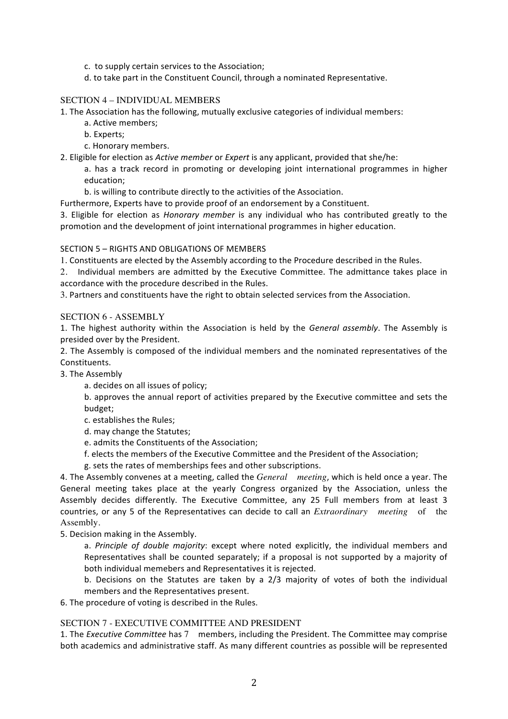- c. to supply certain services to the Association;
- d. to take part in the Constituent Council, through a nominated Representative.

### SECTION 4 – INDIVIDUAL MEMBERS

1. The Association has the following, mutually exclusive categories of individual members:

- a. Active members;
- b. Experts;
- c. Honorary members.
- 2. Eligible for election as *Active member* or *Expert* is any applicant, provided that she/he:

a. has a track record in promoting or developing joint international programmes in higher education;

b. is willing to contribute directly to the activities of the Association.

Furthermore, Experts have to provide proof of an endorsement by a Constituent.

3. Eligible for election as *Honorary member* is any individual who has contributed greatly to the promotion and the development of joint international programmes in higher education.

#### SECTION 5 - RIGHTS AND OBLIGATIONS OF MEMBERS

1. Constituents are elected by the Assembly according to the Procedure described in the Rules.

2. Individual members are admitted by the Executive Committee. The admittance takes place in accordance with the procedure described in the Rules.

3. Partners and constituents have the right to obtain selected services from the Association.

#### SECTION 6 - ASSEMBLY

1. The highest authority within the Association is held by the *General assembly*. The Assembly is presided over by the President.

2. The Assembly is composed of the individual members and the nominated representatives of the Constituents.

#### 3. The Assembly

a. decides on all issues of policy;

b. approves the annual report of activities prepared by the Executive committee and sets the budget;

- c. establishes the Rules;
- d. may change the Statutes;
- e. admits the Constituents of the Association;
- f. elects the members of the Executive Committee and the President of the Association;
- g. sets the rates of memberships fees and other subscriptions.

4. The Assembly convenes at a meeting, called the *General meeting*, which is held once a year. The General meeting takes place at the yearly Congress organized by the Association, unless the Assembly decides differently. The Executive Committee, any 25 Full members from at least 3 countries, or any 5 of the Representatives can decide to call an *Extraordinary meeting* of the Assembly.

5. Decision making in the Assembly.

a. Principle of double majority: except where noted explicitly, the individual members and Representatives shall be counted separately; if a proposal is not supported by a majority of both individual memebers and Representatives it is rejected.

b. Decisions on the Statutes are taken by a  $2/3$  majority of votes of both the individual members and the Representatives present.

6. The procedure of voting is described in the Rules.

#### SECTION 7 - EXECUTIVE COMMITTEE AND PRESIDENT

1. The *Executive Committee* has 7 members, including the President. The Committee may comprise both academics and administrative staff. As many different countries as possible will be represented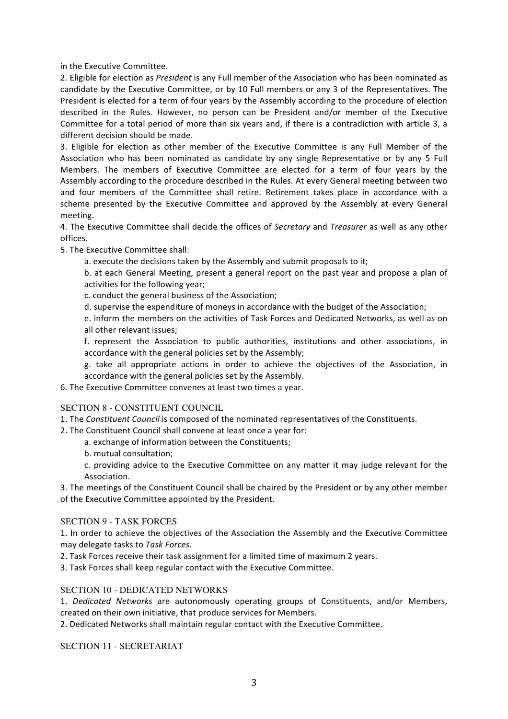in the Executive Committee.

2. Eligible for election as *President* is any Full member of the Association who has been nominated as candidate by the Executive Committee, or by 10 Full members or any 3 of the Representatives. The President is elected for a term of four years by the Assembly according to the procedure of election described in the Rules. However, no person can be President and/or member of the Executive Committee for a total period of more than six years and, if there is a contradiction with article 3, a different decision should be made.

3. Eligible for election as other member of the Executive Committee is any Full Member of the Association who has been nominated as candidate by any single Representative or by any 5 Full Members. The members of Executive Committee are elected for a term of four years by the Assembly according to the procedure described in the Rules. At every General meeting between two and four members of the Committee shall retire. Retirement takes place in accordance with a scheme presented by the Executive Committee and approved by the Assembly at every General meeting. 

4. The Executive Committee shall decide the offices of *Secretary* and *Treasurer* as well as any other offices.

5. The Executive Committee shall:

a. execute the decisions taken by the Assembly and submit proposals to it;

b. at each General Meeting, present a general report on the past year and propose a plan of activities for the following year;

c. conduct the general business of the Association:

d. supervise the expenditure of moneys in accordance with the budget of the Association:

e. inform the members on the activities of Task Forces and Dedicated Networks, as well as on all other relevant issues;

f. represent the Association to public authorities, institutions and other associations, in accordance with the general policies set by the Assembly;

g. take all appropriate actions in order to achieve the objectives of the Association, in accordance with the general policies set by the Assembly.

6. The Executive Committee convenes at least two times a year.

SECTION 8 - CONSTITUENT COUNCIL

1. The *Constituent Council* is composed of the nominated representatives of the Constituents.

2. The Constituent Council shall convene at least once a year for:

a. exchange of information between the Constituents;

b. mutual consultation;

c. providing advice to the Executive Committee on any matter it may judge relevant for the Association. 

3. The meetings of the Constituent Council shall be chaired by the President or by any other member of the Executive Committee appointed by the President.

#### SECTION 9 - TASK FORCES

1. In order to achieve the objectives of the Association the Assembly and the Executive Committee may delegate tasks to *Task Forces*. 

2. Task Forces receive their task assignment for a limited time of maximum 2 years.

3. Task Forces shall keep regular contact with the Executive Committee.

#### SECTION 10 - DEDICATED NETWORKS

1. Dedicated Networks are autonomously operating groups of Constituents, and/or Members, created on their own initiative, that produce services for Members.

2. Dedicated Networks shall maintain regular contact with the Executive Committee.

SECTION 11 - SECRETARIAT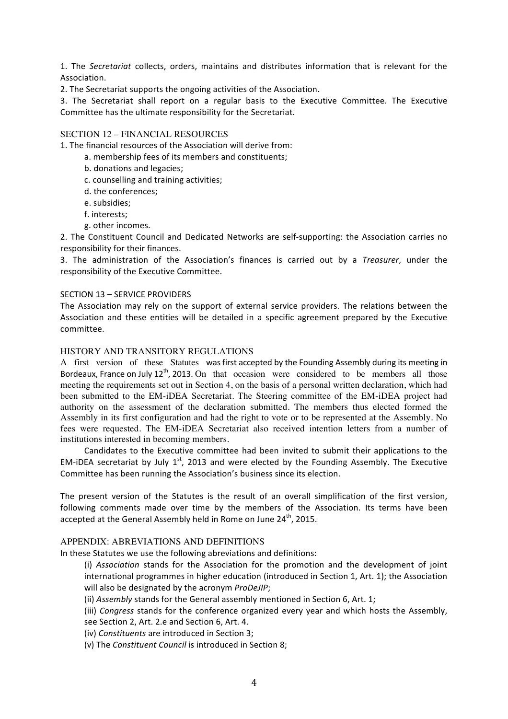1. The Secretariat collects, orders, maintains and distributes information that is relevant for the Association. 

2. The Secretariat supports the ongoing activities of the Association.

3. The Secretariat shall report on a regular basis to the Executive Committee. The Executive Committee has the ultimate responsibility for the Secretariat.

#### SECTION 12 – FINANCIAL RESOURCES

1. The financial resources of the Association will derive from:

a. membership fees of its members and constituents;

- b. donations and legacies;
- c. counselling and training activities;
- d. the conferences;
- e. subsidies:
- f. interests;
- g. other incomes.

2. The Constituent Council and Dedicated Networks are self-supporting: the Association carries no responsibility for their finances.

3. The administration of the Association's finances is carried out by a *Treasurer*, under the responsibility of the Executive Committee.

#### SECTION 13 - SERVICE PROVIDERS

The Association may rely on the support of external service providers. The relations between the Association and these entities will be detailed in a specific agreement prepared by the Executive committee.

#### HISTORY AND TRANSITORY REGULATIONS

A first version of these Statutes was first accepted by the Founding Assembly during its meeting in Bordeaux, France on July  $12^{th}$ , 2013. On that occasion were considered to be members all those meeting the requirements set out in Section 4, on the basis of a personal written declaration, which had been submitted to the EM-iDEA Secretariat. The Steering committee of the EM-iDEA project had authority on the assessment of the declaration submitted. The members thus elected formed the Assembly in its first configuration and had the right to vote or to be represented at the Assembly. No fees were requested. The EM-iDEA Secretariat also received intention letters from a number of institutions interested in becoming members.

Candidates to the Executive committee had been invited to submit their applications to the EM-iDEA secretariat by July  $1^{st}$ , 2013 and were elected by the Founding Assembly. The Executive Committee has been running the Association's business since its election.

The present version of the Statutes is the result of an overall simplification of the first version, following comments made over time by the members of the Association. Its terms have been accepted at the General Assembly held in Rome on June  $24<sup>th</sup>$ , 2015.

#### APPENDIX: ABREVIATIONS AND DEFINITIONS

In these Statutes we use the following abreviations and definitions:

(i) Association stands for the Association for the promotion and the development of joint international programmes in higher education (introduced in Section 1, Art. 1); the Association will also be designated by the acronym ProDeJIP;

(ii) Assembly stands for the General assembly mentioned in Section 6, Art. 1;

(iii) *Congress* stands for the conference organized every year and which hosts the Assembly, see Section 2, Art. 2.e and Section 6, Art. 4.

(iv) Constituents are introduced in Section 3;

(v) The *Constituent Council* is introduced in Section 8;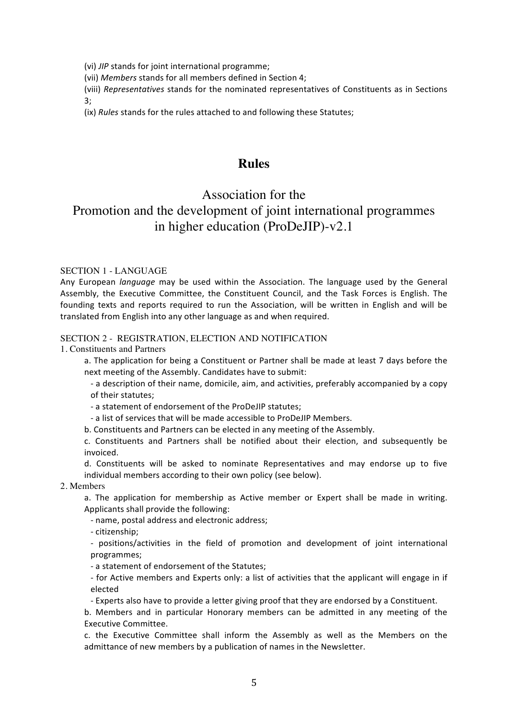(vi) *JIP* stands for joint international programme;

(vii) Members stands for all members defined in Section 4;

(viii) *Representatives* stands for the nominated representatives of Constituents as in Sections 3; 

(ix) *Rules* stands for the rules attached to and following these Statutes;

# **Rules**

# Association for the Promotion and the development of joint international programmes in higher education (ProDeJIP)-v2.1

#### SECTION 1 - LANGUAGE

Any European *language* may be used within the Association. The language used by the General Assembly, the Executive Committee, the Constituent Council, and the Task Forces is English. The founding texts and reports required to run the Association, will be written in English and will be translated from English into any other language as and when required.

#### SECTION 2 - REGISTRATION, ELECTION AND NOTIFICATION

1. Constituents and Partners

a. The application for being a Constituent or Partner shall be made at least 7 days before the next meeting of the Assembly. Candidates have to submit:

- a description of their name, domicile, aim, and activities, preferably accompanied by a copy of their statutes;

- a statement of endorsement of the ProDeJIP statutes;

- a list of services that will be made accessible to ProDeJIP Members.

b. Constituents and Partners can be elected in any meeting of the Assembly.

c. Constituents and Partners shall be notified about their election, and subsequently be invoiced. 

d. Constituents will be asked to nominate Representatives and may endorse up to five individual members according to their own policy (see below).

2. Members

a. The application for membership as Active member or Expert shall be made in writing. Applicants shall provide the following:

- name, postal address and electronic address;

- citizenship;

- positions/activities in the field of promotion and development of joint international programmes;

- a statement of endorsement of the Statutes;

- for Active members and Experts only: a list of activities that the applicant will engage in if elected

- Experts also have to provide a letter giving proof that they are endorsed by a Constituent.

b. Members and in particular Honorary members can be admitted in any meeting of the Executive Committee. 

c. the Executive Committee shall inform the Assembly as well as the Members on the admittance of new members by a publication of names in the Newsletter.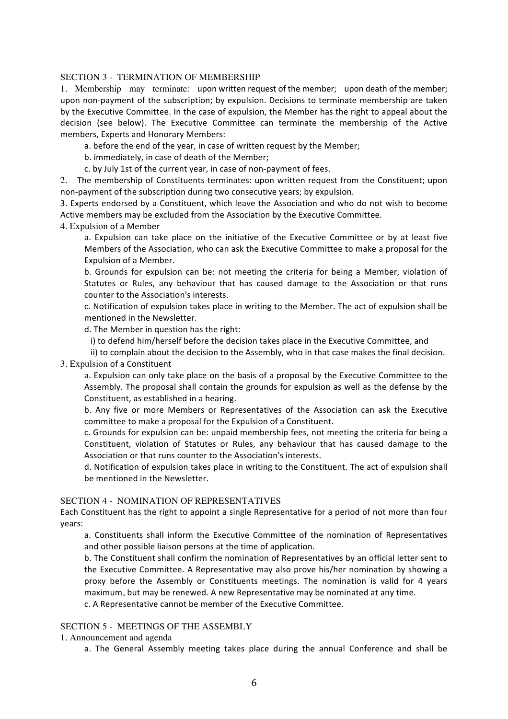#### SECTION 3 - TERMINATION OF MEMBERSHIP

1. Membership may terminate: upon written request of the member; upon death of the member; upon non-payment of the subscription; by expulsion. Decisions to terminate membership are taken by the Executive Committee. In the case of expulsion, the Member has the right to appeal about the decision (see below). The Executive Committee can terminate the membership of the Active members, Experts and Honorary Members:

a. before the end of the year, in case of written request by the Member;

b. immediately, in case of death of the Member;

c. by July 1st of the current year, in case of non-payment of fees.

2. The membership of Constituents terminates: upon written request from the Constituent; upon non-payment of the subscription during two consecutive years; by expulsion.

3. Experts endorsed by a Constituent, which leave the Association and who do not wish to become Active members may be excluded from the Association by the Executive Committee.

4. Expulsion of a Member

a. Expulsion can take place on the initiative of the Executive Committee or by at least five Members of the Association, who can ask the Executive Committee to make a proposal for the Expulsion of a Member.

b. Grounds for expulsion can be: not meeting the criteria for being a Member, violation of Statutes or Rules, any behaviour that has caused damage to the Association or that runs counter to the Association's interests.

c. Notification of expulsion takes place in writing to the Member. The act of expulsion shall be mentioned in the Newsletter.

d. The Member in question has the right:

i) to defend him/herself before the decision takes place in the Executive Committee, and

ii) to complain about the decision to the Assembly, who in that case makes the final decision.

3. Expulsion of a Constituent

a. Expulsion can only take place on the basis of a proposal by the Executive Committee to the Assembly. The proposal shall contain the grounds for expulsion as well as the defense by the Constituent, as established in a hearing.

b. Any five or more Members or Representatives of the Association can ask the Executive committee to make a proposal for the Expulsion of a Constituent.

c. Grounds for expulsion can be: unpaid membership fees, not meeting the criteria for being a Constituent, violation of Statutes or Rules, any behaviour that has caused damage to the Association or that runs counter to the Association's interests.

d. Notification of expulsion takes place in writing to the Constituent. The act of expulsion shall be mentioned in the Newsletter.

#### SECTION 4 - NOMINATION OF REPRESENTATIVES

Each Constituent has the right to appoint a single Representative for a period of not more than four years:

a. Constituents shall inform the Executive Committee of the nomination of Representatives and other possible liaison persons at the time of application.

b. The Constituent shall confirm the nomination of Representatives by an official letter sent to the Executive Committee. A Representative may also prove his/her nomination by showing a proxy before the Assembly or Constituents meetings. The nomination is valid for 4 years maximum, but may be renewed. A new Representative may be nominated at any time.

c. A Representative cannot be member of the Executive Committee.

#### SECTION 5 - MEETINGS OF THE ASSEMBLY

1. Announcement and agenda

a. The General Assembly meeting takes place during the annual Conference and shall be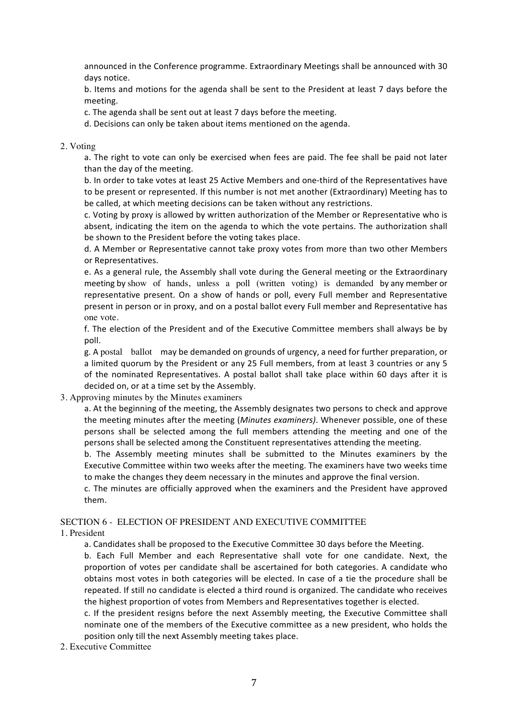announced in the Conference programme. Extraordinary Meetings shall be announced with 30 days notice.

b. Items and motions for the agenda shall be sent to the President at least 7 days before the meeting. 

c. The agenda shall be sent out at least 7 days before the meeting.

d. Decisions can only be taken about items mentioned on the agenda.

2. Voting

a. The right to vote can only be exercised when fees are paid. The fee shall be paid not later than the day of the meeting.

b. In order to take votes at least 25 Active Members and one-third of the Representatives have to be present or represented. If this number is not met another (Extraordinary) Meeting has to be called, at which meeting decisions can be taken without any restrictions.

c. Voting by proxy is allowed by written authorization of the Member or Representative who is absent, indicating the item on the agenda to which the vote pertains. The authorization shall be shown to the President before the voting takes place.

d. A Member or Representative cannot take proxy votes from more than two other Members or Representatives.

e. As a general rule, the Assembly shall vote during the General meeting or the Extraordinary meeting by show of hands, unless a poll (written voting) is demanded by any member or representative present. On a show of hands or poll, every Full member and Representative present in person or in proxy, and on a postal ballot every Full member and Representative has one vote.

f. The election of the President and of the Executive Committee members shall always be by poll. 

g. A postal ballot may be demanded on grounds of urgency, a need for further preparation, or a limited quorum by the President or any 25 Full members, from at least 3 countries or any 5 of the nominated Representatives. A postal ballot shall take place within 60 days after it is decided on, or at a time set by the Assembly.

3. Approving minutes by the Minutes examiners

a. At the beginning of the meeting, the Assembly designates two persons to check and approve the meeting minutes after the meeting (*Minutes examiners*). Whenever possible, one of these persons shall be selected among the full members attending the meeting and one of the persons shall be selected among the Constituent representatives attending the meeting.

b. The Assembly meeting minutes shall be submitted to the Minutes examiners by the Executive Committee within two weeks after the meeting. The examiners have two weeks time to make the changes they deem necessary in the minutes and approve the final version.

c. The minutes are officially approved when the examiners and the President have approved them.

SECTION 6 - ELECTION OF PRESIDENT AND EXECUTIVE COMMITTEE

1. President

a. Candidates shall be proposed to the Executive Committee 30 days before the Meeting.

b. Each Full Member and each Representative shall vote for one candidate. Next, the proportion of votes per candidate shall be ascertained for both categories. A candidate who obtains most votes in both categories will be elected. In case of a tie the procedure shall be repeated. If still no candidate is elected a third round is organized. The candidate who receives the highest proportion of votes from Members and Representatives together is elected.

c. If the president resigns before the next Assembly meeting, the Executive Committee shall nominate one of the members of the Executive committee as a new president, who holds the position only till the next Assembly meeting takes place.

2. Executive Committee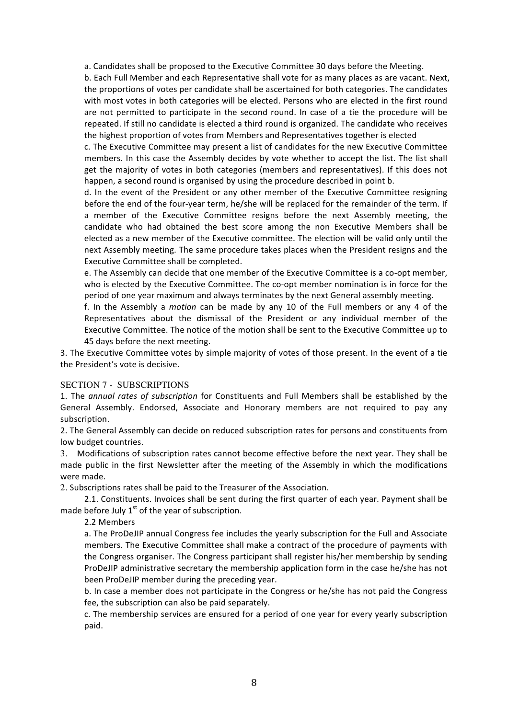a. Candidates shall be proposed to the Executive Committee 30 days before the Meeting.

b. Each Full Member and each Representative shall vote for as many places as are vacant. Next, the proportions of votes per candidate shall be ascertained for both categories. The candidates with most votes in both categories will be elected. Persons who are elected in the first round are not permitted to participate in the second round. In case of a tie the procedure will be repeated. If still no candidate is elected a third round is organized. The candidate who receives the highest proportion of votes from Members and Representatives together is elected

c. The Executive Committee may present a list of candidates for the new Executive Committee members. In this case the Assembly decides by vote whether to accept the list. The list shall get the majority of votes in both categories (members and representatives). If this does not happen, a second round is organised by using the procedure described in point b.

d. In the event of the President or any other member of the Executive Committee resigning before the end of the four-year term, he/she will be replaced for the remainder of the term. If a member of the Executive Committee resigns before the next Assembly meeting, the candidate who had obtained the best score among the non Executive Members shall be elected as a new member of the Executive committee. The election will be valid only until the next Assembly meeting. The same procedure takes places when the President resigns and the Executive Committee shall be completed.

e. The Assembly can decide that one member of the Executive Committee is a co-opt member, who is elected by the Executive Committee. The co-opt member nomination is in force for the period of one year maximum and always terminates by the next General assembly meeting.

f. In the Assembly a *motion* can be made by any 10 of the Full members or any 4 of the Representatives about the dismissal of the President or any individual member of the Executive Committee. The notice of the motion shall be sent to the Executive Committee up to 45 days before the next meeting.

3. The Executive Committee votes by simple majority of votes of those present. In the event of a tie the President's vote is decisive.

#### SECTION 7 - SUBSCRIPTIONS

1. The *annual rates of subscription* for Constituents and Full Members shall be established by the General Assembly. Endorsed, Associate and Honorary members are not required to pay any subscription.

2. The General Assembly can decide on reduced subscription rates for persons and constituents from low budget countries.

3. Modifications of subscription rates cannot become effective before the next year. They shall be made public in the first Newsletter after the meeting of the Assembly in which the modifications were made.

2. Subscriptions rates shall be paid to the Treasurer of the Association.

2.1. Constituents. Invoices shall be sent during the first quarter of each year. Payment shall be made before July  $1<sup>st</sup>$  of the year of subscription.

2.2 Members 

a. The ProDeJIP annual Congress fee includes the yearly subscription for the Full and Associate members. The Executive Committee shall make a contract of the procedure of payments with the Congress organiser. The Congress participant shall register his/her membership by sending ProDeJIP administrative secretary the membership application form in the case he/she has not been ProDeJIP member during the preceding year.

b. In case a member does not participate in the Congress or he/she has not paid the Congress fee, the subscription can also be paid separately.

c. The membership services are ensured for a period of one year for every yearly subscription paid.